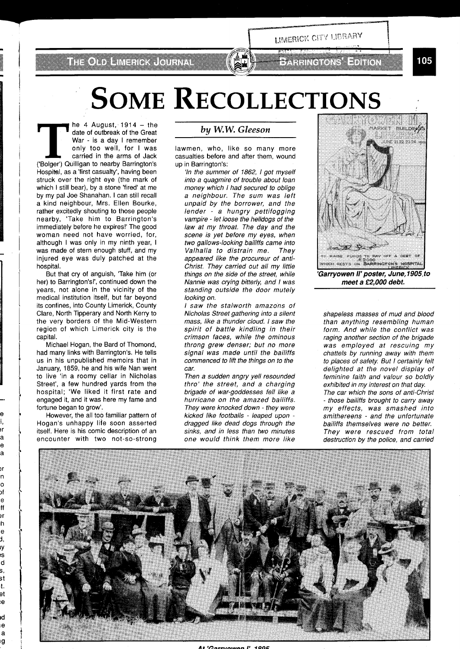THOTO HARRICUMAL

## FATTER ORGANIZATION

LIMERICK CITY LIBRARY

105

## **SOME RECOLLECTIONS**

he 4 August,  $1914 -$  the date of outbreak of the Great War - is a day I remember only too well, for I was carried in the arms of Jack ('Bolger') Quilligan to nearby Barrington's Hospital, as a 'first casualty', having been struck over the right eye (the mark of which I still bear), by a stone 'fired' at me by my pal Joe Shanahan. I can still recall a kind neighbour, Mrs. Ellen Bourke, rather excitedly shouting to those people nearby, 'Take him to Barrington's immediately before he expires!' The good woman need not have worried, for, although I was only in my ninth year, I was made of stern enough stuff, and my injured eye was duly patched at the hospital.

But that cry of anguish, 'Take him (or her) to Barrington's!', continued down the years, not alone in the vicinity of the medical institution itself, but far beyond its confines, into County Limerick, County Clare, North Tipperary and North Kerry to the very borders of the Mid-Western region of which Limerick city is the capital.

Michael Hogan, the Bard of Thomond, had many links with Barrington's. He tells us in his unpublished memoirs that in January, 1859, he and his wife Nan went to live 'in a roomy cellar in Nicholas Street', a few hundred yards from the hospital; 'We liked it first rate and engaged it, and it was here my fame and fortune began to grow'.

However, the all too familiar pattern of Hogan's unhappy life soon asserted itself. Here is his comic description of an encounter with two not-so-strong

) r a e ä

ונ n  $\circ$ bĺ e ff 9ľ h e d, ιy ıs d s st t. et ė

iĆ e a ıg

## **by W.W.** *Gleeson*

lawmen, who, like so many more casualties before and after them, wound up in Barrington's:

'In the summer of 1862, 1 got myself into a quagmire of trouble about loan money which I had secured to oblige a neighbour. The sum was left unpaid by the borrower, and the lender - a hungry pettifogging vampire - let loose the helldogs of the law at my throat. The day and the scene is yet before my eyes, when two gallows-looking bailiffs came into Valhalla to distrain me. They appeared like the procureur of anti-Christ. They carried out all my little things on the side of the street, while Nannie was crying bitterly, and I was standing outside the door mutely looking on.

I saw the stalworth amazons of Nicholas Street gathering into a silent mass, like a thunder cloud. I saw the spirit of battle kindling in their crimson faces, while the ominous throng grew denser; but no more signal was made until the bailiffs commenced to lift the things on to the car.

Then a sudden angry yell resounded thro' the street, and a charging brigade of war-goddesses fell like a hurricane on the amazed bailiffs. They were knocked down - they were kicked like footballs - leaped upon dragged like dead dogs through the sinks, and in less than two minutes one would think them more like



shapeless masses of mud and blood than anything resembling human form. And while the conflict was raging another section of the brigade was employed at rescuing my chattels by running away with them to places of safety. But I certainly felt delighted at the novel display of feminine faith and valour so boldly exhibited in my interest on that day. The car which the sons of anti-Christ - those bailiffs brought to carry away my effects, was smashed into smithereens - and the unfortunate bailiffs themselves were no better. They were rescued from total destruction by the police, and carried



 $C$ orryowan  $P$  1905